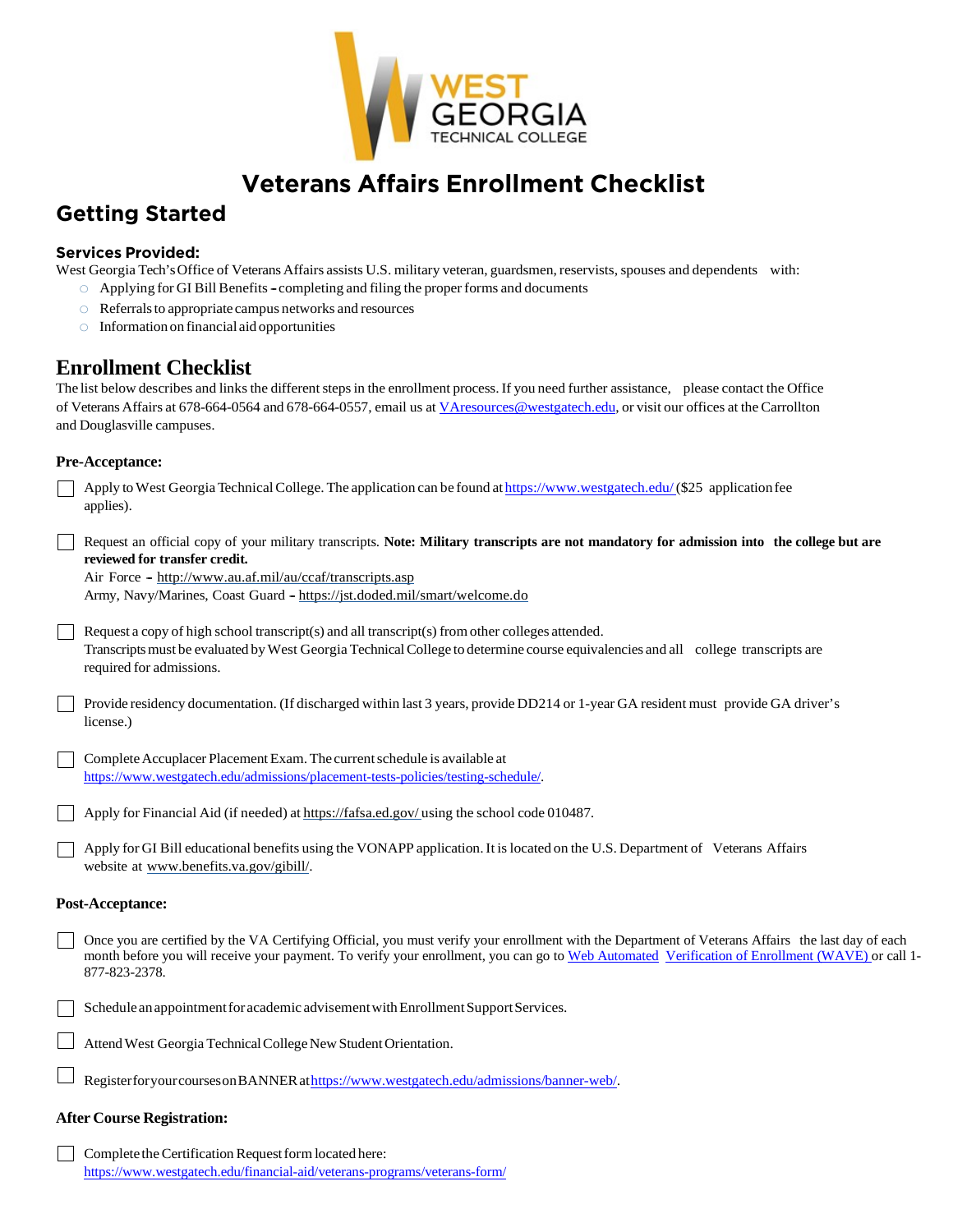

# **Veterans Affairs Enrollment Checklist**

## **Getting Started**

### **Services Provided:**

West Georgia Tech's Office of Veterans Affairs assists U.S. military veteran, guardsmen, reservists, spouses and dependents with:

- $\circ$  Applying for GI Bill Benefits completing and filing the proper forms and documents
- $\circ$  Referrals to appropriate campus networks and resources
- o Informationon financial aid opportunities

### **Enrollment Checklist**

The list below describes and links the different steps in the enrollment process. If you need further assistance, please contact the Office of Veterans Affairs at 678-664-0564 and 678-664-0557, email us at [VAresources@westgatech.edu,](mailto:VAresources@westgatech.edu) or visit our offices at the Carrollton and Douglasville campuses.

### **Pre-Acceptance:**

|                         | Apply to West Georgia Technical College. The application can be found at https://www.westgatech.edu/(\$25 application fee<br>applies).                                                                                                                                                                                 |
|-------------------------|------------------------------------------------------------------------------------------------------------------------------------------------------------------------------------------------------------------------------------------------------------------------------------------------------------------------|
|                         | Request an official copy of your military transcripts. Note: Military transcripts are not mandatory for admission into the college but are<br>reviewed for transfer credit.<br>Air Force - http://www.au.af.mil/au/ccaf/transcripts.asp<br>Army, Navy/Marines, Coast Guard - https://jst.doded.mil/smart/welcome.do    |
|                         | Request a copy of high school transcript(s) and all transcript(s) from other colleges attended.<br>Transcripts must be evaluated by West Georgia Technical College to determine course equivalencies and all college transcripts are<br>required for admissions.                                                       |
|                         | Provide residency documentation. (If discharged within last 3 years, provide DD214 or 1-year GA resident must provide GA driver's<br>license.)                                                                                                                                                                         |
|                         | Complete Accuplacer Placement Exam. The current schedule is available at<br>https://www.westgatech.edu/admissions/placement-tests-policies/testing-schedule/.                                                                                                                                                          |
|                         | Apply for Financial Aid (if needed) at https://fafsa.ed.gov/using the school code 010487.                                                                                                                                                                                                                              |
|                         | Apply for GI Bill educational benefits using the VONAPP application. It is located on the U.S. Department of Veterans Affairs<br>website at www.benefits.va.gov/gibill/.                                                                                                                                               |
| <b>Post-Acceptance:</b> |                                                                                                                                                                                                                                                                                                                        |
|                         | Once you are certified by the VA Certifying Official, you must verify your enrollment with the Department of Veterans Affairs the last day of each<br>month before you will receive your payment. To verify your enrollment, you can go to Web Automated Verification of Enrollment (WAVE) or call 1-<br>877-823-2378. |
|                         | Schedule an appointment for academic advisement with Enrollment Support Services.                                                                                                                                                                                                                                      |
|                         | Attend West Georgia Technical College New Student Orientation.                                                                                                                                                                                                                                                         |
|                         | Register for your courses on BANNER at https://www.westgatech.edu/admissions/banner-web/.                                                                                                                                                                                                                              |

#### **After Course Registration:**

 $\Box$  Complete the Certification Request form located here: <https://www.westgatech.edu/financial-aid/veterans-programs/veterans-form/>